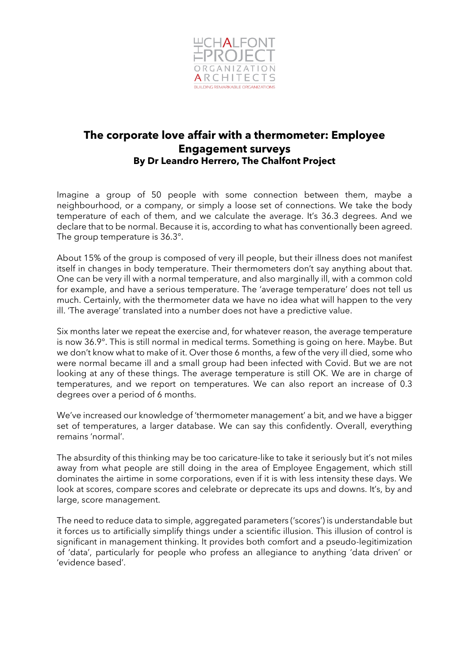

## **The corporate love affair with a thermometer: Employee Engagement surveys By Dr Leandro Herrero, The Chalfont Project**

Imagine a group of 50 people with some connection between them, maybe a neighbourhood, or a company, or simply a loose set of connections. We take the body temperature of each of them, and we calculate the average. It's 36.3 degrees. And we declare that to be normal. Because it is, according to what has conventionally been agreed. The group temperature is 36.3°.

About 15% of the group is composed of very ill people, but their illness does not manifest itself in changes in body temperature. Their thermometers don't say anything about that. One can be very ill with a normal temperature, and also marginally ill, with a common cold for example, and have a serious temperature. The 'average temperature' does not tell us much. Certainly, with the thermometer data we have no idea what will happen to the very ill. 'The average' translated into a number does not have a predictive value.

Six months later we repeat the exercise and, for whatever reason, the average temperature is now 36.9°. This is still normal in medical terms. Something is going on here. Maybe. But we don't know what to make of it. Over those 6 months, a few of the very ill died, some who were normal became ill and a small group had been infected with Covid. But we are not looking at any of these things. The average temperature is still OK. We are in charge of temperatures, and we report on temperatures. We can also report an increase of 0.3 degrees over a period of 6 months.

We've increased our knowledge of 'thermometer management' a bit, and we have a bigger set of temperatures, a larger database. We can say this confidently. Overall, everything remains 'normal'.

The absurdity of this thinking may be too caricature-like to take it seriously but it's not miles away from what people are still doing in the area of Employee Engagement, which still dominates the airtime in some corporations, even if it is with less intensity these days. We look at scores, compare scores and celebrate or deprecate its ups and downs. It's, by and large, score management.

The need to reduce data to simple, aggregated parameters ('scores') is understandable but it forces us to artificially simplify things under a scientific illusion. This illusion of control is significant in management thinking. It provides both comfort and a pseudo-legitimization of 'data', particularly for people who profess an allegiance to anything 'data driven' or 'evidence based'.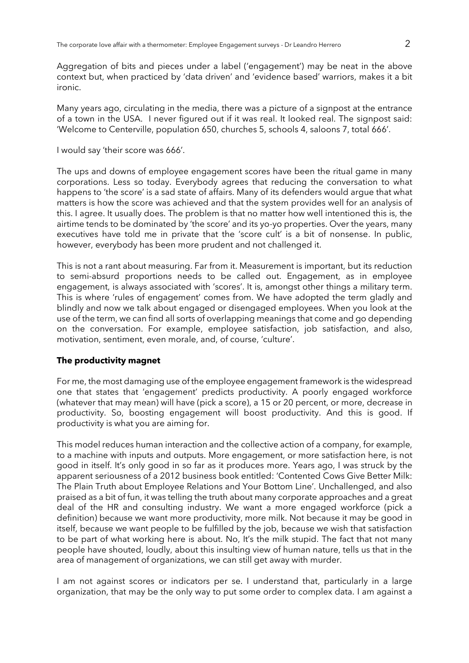Aggregation of bits and pieces under a label ('engagement') may be neat in the above context but, when practiced by 'data driven' and 'evidence based' warriors, makes it a bit ironic.

Many years ago, circulating in the media, there was a picture of a signpost at the entrance of a town in the USA. I never figured out if it was real. It looked real. The signpost said: 'Welcome to Centerville, population 650, churches 5, schools 4, saloons 7, total 666'.

I would say 'their score was 666'.

The ups and downs of employee engagement scores have been the ritual game in many corporations. Less so today. Everybody agrees that reducing the conversation to what happens to 'the score' is a sad state of affairs. Many of its defenders would argue that what matters is how the score was achieved and that the system provides well for an analysis of this. I agree. It usually does. The problem is that no matter how well intentioned this is, the airtime tends to be dominated by 'the score' and its yo-yo properties. Over the years, many executives have told me in private that the 'score cult' is a bit of nonsense. In public, however, everybody has been more prudent and not challenged it.

This is not a rant about measuring. Far from it. Measurement is important, but its reduction to semi-absurd proportions needs to be called out. Engagement, as in employee engagement, is always associated with 'scores'. It is, amongst other things a military term. This is where 'rules of engagement' comes from. We have adopted the term gladly and blindly and now we talk about engaged or disengaged employees. When you look at the use of the term, we can find all sorts of overlapping meanings that come and go depending on the conversation. For example, employee satisfaction, job satisfaction, and also, motivation, sentiment, even morale, and, of course, 'culture'.

## **The productivity magnet**

For me, the most damaging use of the employee engagement framework is the widespread one that states that 'engagement' predicts productivity. A poorly engaged workforce (whatever that may mean) will have (pick a score), a 15 or 20 percent, or more, decrease in productivity. So, boosting engagement will boost productivity. And this is good. If productivity is what you are aiming for.

This model reduces human interaction and the collective action of a company, for example, to a machine with inputs and outputs. More engagement, or more satisfaction here, is not good in itself. It's only good in so far as it produces more. Years ago, I was struck by the apparent seriousness of a 2012 business book entitled: 'Contented Cows Give Better Milk: The Plain Truth about Employee Relations and Your Bottom Line'. Unchallenged, and also praised as a bit of fun, it was telling the truth about many corporate approaches and a great deal of the HR and consulting industry. We want a more engaged workforce (pick a definition) because we want more productivity, more milk. Not because it may be good in itself, because we want people to be fulfilled by the job, because we wish that satisfaction to be part of what working here is about. No, It's the milk stupid. The fact that not many people have shouted, loudly, about this insulting view of human nature, tells us that in the area of management of organizations, we can still get away with murder.

I am not against scores or indicators per se. I understand that, particularly in a large organization, that may be the only way to put some order to complex data. I am against a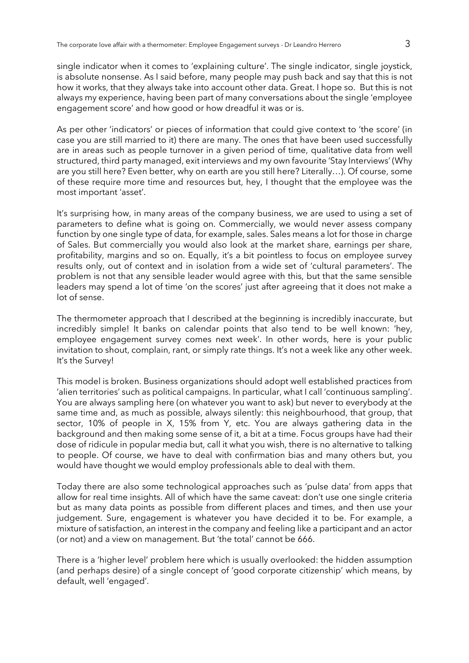single indicator when it comes to 'explaining culture'. The single indicator, single joystick, is absolute nonsense. As I said before, many people may push back and say that this is not how it works, that they always take into account other data. Great. I hope so. But this is not always my experience, having been part of many conversations about the single 'employee engagement score' and how good or how dreadful it was or is.

As per other 'indicators' or pieces of information that could give context to 'the score' (in case you are still married to it) there are many. The ones that have been used successfully are in areas such as people turnover in a given period of time, qualitative data from well structured, third party managed, exit interviews and my own favourite 'Stay Interviews' (Why are you still here? Even better, why on earth are you still here? Literally…). Of course, some of these require more time and resources but, hey, I thought that the employee was the most important 'asset'.

It's surprising how, in many areas of the company business, we are used to using a set of parameters to define what is going on. Commercially, we would never assess company function by one single type of data, for example, sales. Sales means a lot for those in charge of Sales. But commercially you would also look at the market share, earnings per share, profitability, margins and so on. Equally, it's a bit pointless to focus on employee survey results only, out of context and in isolation from a wide set of 'cultural parameters'. The problem is not that any sensible leader would agree with this, but that the same sensible leaders may spend a lot of time 'on the scores' just after agreeing that it does not make a lot of sense.

The thermometer approach that I described at the beginning is incredibly inaccurate, but incredibly simple! It banks on calendar points that also tend to be well known: 'hey, employee engagement survey comes next week'. In other words, here is your public invitation to shout, complain, rant, or simply rate things. It's not a week like any other week. It's the Survey!

This model is broken. Business organizations should adopt well established practices from 'alien territories' such as political campaigns. In particular, what I call 'continuous sampling'. You are always sampling here (on whatever you want to ask) but never to everybody at the same time and, as much as possible, always silently: this neighbourhood, that group, that sector, 10% of people in X, 15% from Y, etc. You are always gathering data in the background and then making some sense of it, a bit at a time. Focus groups have had their dose of ridicule in popular media but, call it what you wish, there is no alternative to talking to people. Of course, we have to deal with confirmation bias and many others but, you would have thought we would employ professionals able to deal with them.

Today there are also some technological approaches such as 'pulse data' from apps that allow for real time insights. All of which have the same caveat: don't use one single criteria but as many data points as possible from different places and times, and then use your judgement. Sure, engagement is whatever you have decided it to be. For example, a mixture of satisfaction, an interest in the company and feeling like a participant and an actor (or not) and a view on management. But 'the total' cannot be 666.

There is a 'higher level' problem here which is usually overlooked: the hidden assumption (and perhaps desire) of a single concept of 'good corporate citizenship' which means, by default, well 'engaged'.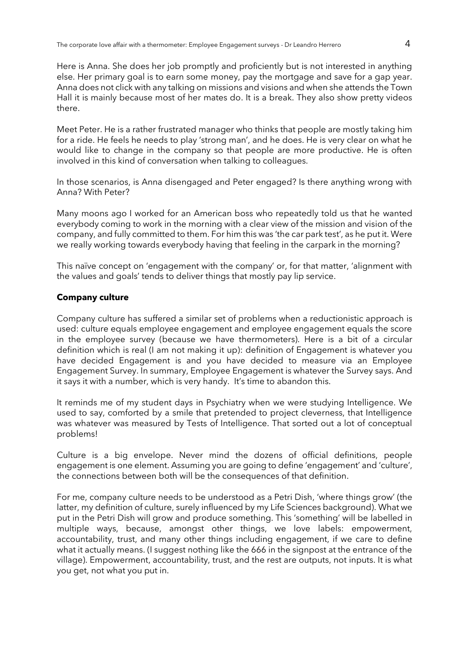Here is Anna. She does her job promptly and proficiently but is not interested in anything else. Her primary goal is to earn some money, pay the mortgage and save for a gap year. Anna does not click with any talking on missions and visions and when she attends the Town Hall it is mainly because most of her mates do. It is a break. They also show pretty videos there.

Meet Peter. He is a rather frustrated manager who thinks that people are mostly taking him for a ride. He feels he needs to play 'strong man', and he does. He is very clear on what he would like to change in the company so that people are more productive. He is often involved in this kind of conversation when talking to colleagues.

In those scenarios, is Anna disengaged and Peter engaged? Is there anything wrong with Anna? With Peter?

Many moons ago I worked for an American boss who repeatedly told us that he wanted everybody coming to work in the morning with a clear view of the mission and vision of the company, and fully committed to them. For him this was 'the car park test', as he put it. Were we really working towards everybody having that feeling in the carpark in the morning?

This naïve concept on 'engagement with the company' or, for that matter, 'alignment with the values and goals' tends to deliver things that mostly pay lip service.

## **Company culture**

Company culture has suffered a similar set of problems when a reductionistic approach is used: culture equals employee engagement and employee engagement equals the score in the employee survey (because we have thermometers). Here is a bit of a circular definition which is real (I am not making it up): definition of Engagement is whatever you have decided Engagement is and you have decided to measure via an Employee Engagement Survey. In summary, Employee Engagement is whatever the Survey says. And it says it with a number, which is very handy. It's time to abandon this.

It reminds me of my student days in Psychiatry when we were studying Intelligence. We used to say, comforted by a smile that pretended to project cleverness, that Intelligence was whatever was measured by Tests of Intelligence. That sorted out a lot of conceptual problems!

Culture is a big envelope. Never mind the dozens of official definitions, people engagement is one element. Assuming you are going to define 'engagement' and 'culture', the connections between both will be the consequences of that definition.

For me, company culture needs to be understood as a Petri Dish, 'where things grow' (the latter, my definition of culture, surely influenced by my Life Sciences background). What we put in the Petri Dish will grow and produce something. This 'something' will be labelled in multiple ways, because, amongst other things, we love labels: empowerment, accountability, trust, and many other things including engagement, if we care to define what it actually means. (I suggest nothing like the 666 in the signpost at the entrance of the village). Empowerment, accountability, trust, and the rest are outputs, not inputs. It is what you get, not what you put in.